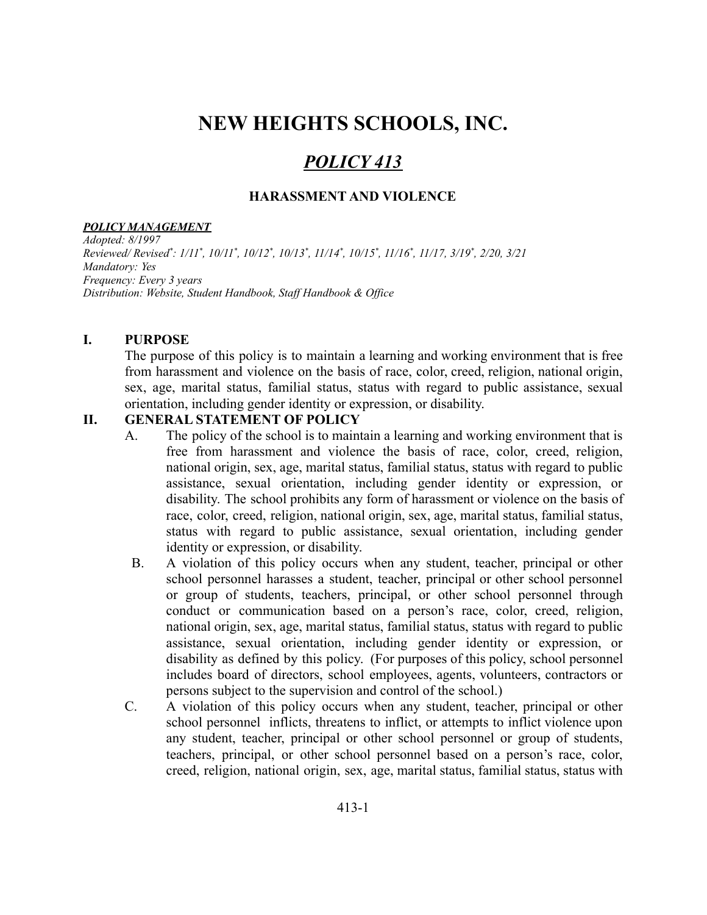# **NEW HEIGHTS SCHOOLS, INC.**

# *POLICY 413*

#### **HARASSMENT AND VIOLENCE**

#### *POLICY MANAGEMENT*

*Adopted: 8/1997* Reviewed/Revised\*: 1/11\*, 10/11\*, 10/12\*, 10/13\*, 11/14\*, 10/15\*, 11/16\*, 11/17, 3/19\*, 2/20, 3/21 *Mandatory: Yes Frequency: Every 3 years Distribution: Website, Student Handbook, Staf Handbook & Of ice*

#### **I. PURPOSE**

The purpose of this policy is to maintain a learning and working environment that is free from harassment and violence on the basis of race, color, creed, religion, national origin, sex, age, marital status, familial status, status with regard to public assistance, sexual orientation, including gender identity or expression, or disability.

#### **II. GENERAL STATEMENT OF POLICY**

- A. The policy of the school is to maintain a learning and working environment that is free from harassment and violence the basis of race, color, creed, religion, national origin, sex, age, marital status, familial status, status with regard to public assistance, sexual orientation, including gender identity or expression, or disability. The school prohibits any form of harassment or violence on the basis of race, color, creed, religion, national origin, sex, age, marital status, familial status, status with regard to public assistance, sexual orientation, including gender identity or expression, or disability.
- B. A violation of this policy occurs when any student, teacher, principal or other school personnel harasses a student, teacher, principal or other school personnel or group of students, teachers, principal, or other school personnel through conduct or communication based on a person's race, color, creed, religion, national origin, sex, age, marital status, familial status, status with regard to public assistance, sexual orientation, including gender identity or expression, or disability as defined by this policy. (For purposes of this policy, school personnel includes board of directors, school employees, agents, volunteers, contractors or persons subject to the supervision and control of the school.)
- C. A violation of this policy occurs when any student, teacher, principal or other school personnel inflicts, threatens to inflict, or attempts to inflict violence upon any student, teacher, principal or other school personnel or group of students, teachers, principal, or other school personnel based on a person's race, color, creed, religion, national origin, sex, age, marital status, familial status, status with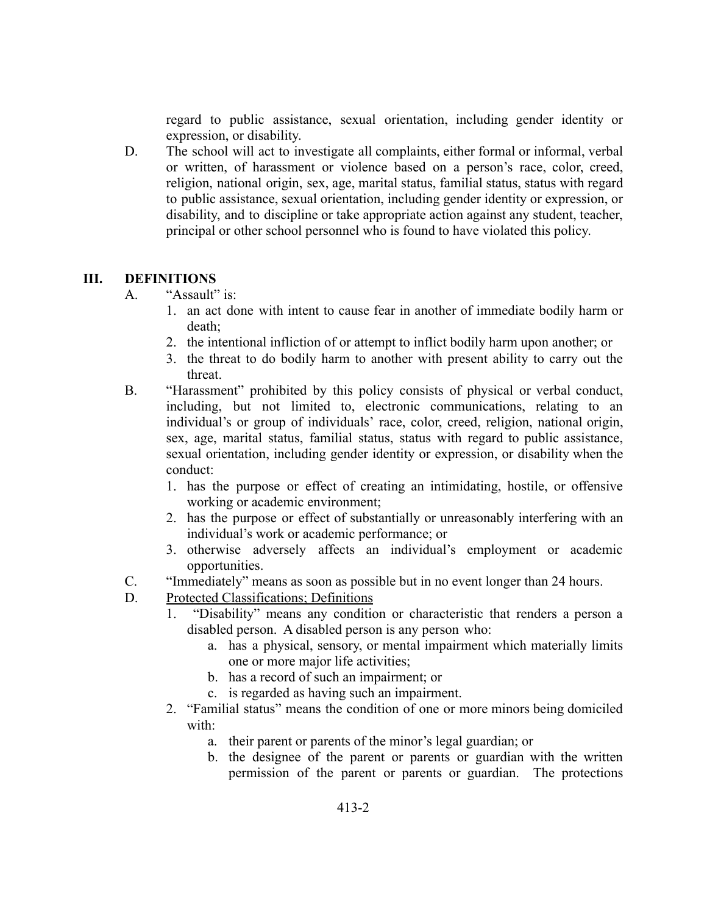regard to public assistance, sexual orientation, including gender identity or expression, or disability.

D. The school will act to investigate all complaints, either formal or informal, verbal or written, of harassment or violence based on a person's race, color, creed, religion, national origin, sex, age, marital status, familial status, status with regard to public assistance, sexual orientation, including gender identity or expression, or disability, and to discipline or take appropriate action against any student, teacher, principal or other school personnel who is found to have violated this policy.

#### **III. DEFINITIONS**

- A. "Assault" is:
	- 1. an act done with intent to cause fear in another of immediate bodily harm or death;
	- 2. the intentional infliction of or attempt to inflict bodily harm upon another; or
	- 3. the threat to do bodily harm to another with present ability to carry out the threat.
- B. "Harassment" prohibited by this policy consists of physical or verbal conduct, including, but not limited to, electronic communications, relating to an individual's or group of individuals' race, color, creed, religion, national origin, sex, age, marital status, familial status, status with regard to public assistance, sexual orientation, including gender identity or expression, or disability when the conduct:
	- 1. has the purpose or effect of creating an intimidating, hostile, or offensive working or academic environment;
	- 2. has the purpose or effect of substantially or unreasonably interfering with an individual's work or academic performance; or
	- 3. otherwise adversely affects an individual's employment or academic opportunities.
- C. "Immediately" means as soon as possible but in no event longer than 24 hours.
- D. Protected Classifications; Definitions
	- 1. "Disability" means any condition or characteristic that renders a person a disabled person. A disabled person is any person who:
		- a. has a physical, sensory, or mental impairment which materially limits one or more major life activities;
		- b. has a record of such an impairment; or
		- c. is regarded as having such an impairment.
	- 2. "Familial status" means the condition of one or more minors being domiciled with:
		- a. their parent or parents of the minor's legal guardian; or
		- b. the designee of the parent or parents or guardian with the written permission of the parent or parents or guardian. The protections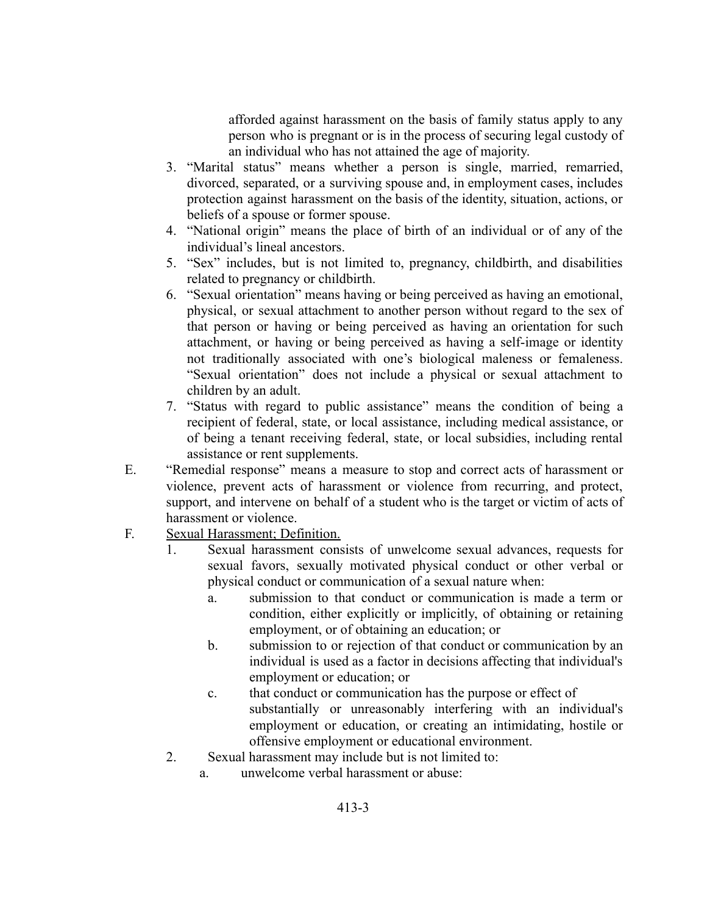afforded against harassment on the basis of family status apply to any person who is pregnant or is in the process of securing legal custody of an individual who has not attained the age of majority.

- 3. "Marital status" means whether a person is single, married, remarried, divorced, separated, or a surviving spouse and, in employment cases, includes protection against harassment on the basis of the identity, situation, actions, or beliefs of a spouse or former spouse.
- 4. "National origin" means the place of birth of an individual or of any of the individual's lineal ancestors.
- 5. "Sex" includes, but is not limited to, pregnancy, childbirth, and disabilities related to pregnancy or childbirth.
- 6. "Sexual orientation" means having or being perceived as having an emotional, physical, or sexual attachment to another person without regard to the sex of that person or having or being perceived as having an orientation for such attachment, or having or being perceived as having a self-image or identity not traditionally associated with one's biological maleness or femaleness. "Sexual orientation" does not include a physical or sexual attachment to children by an adult.
- 7. "Status with regard to public assistance" means the condition of being a recipient of federal, state, or local assistance, including medical assistance, or of being a tenant receiving federal, state, or local subsidies, including rental assistance or rent supplements.
- E. "Remedial response" means a measure to stop and correct acts of harassment or violence, prevent acts of harassment or violence from recurring, and protect, support, and intervene on behalf of a student who is the target or victim of acts of harassment or violence.
- F. Sexual Harassment; Definition.
	- 1. Sexual harassment consists of unwelcome sexual advances, requests for sexual favors, sexually motivated physical conduct or other verbal or physical conduct or communication of a sexual nature when:
		- a. submission to that conduct or communication is made a term or condition, either explicitly or implicitly, of obtaining or retaining employment, or of obtaining an education; or
		- b. submission to or rejection of that conduct or communication by an individual is used as a factor in decisions affecting that individual's employment or education; or
		- c. that conduct or communication has the purpose or effect of substantially or unreasonably interfering with an individual's employment or education, or creating an intimidating, hostile or offensive employment or educational environment.
	- 2. Sexual harassment may include but is not limited to:
		- a. unwelcome verbal harassment or abuse: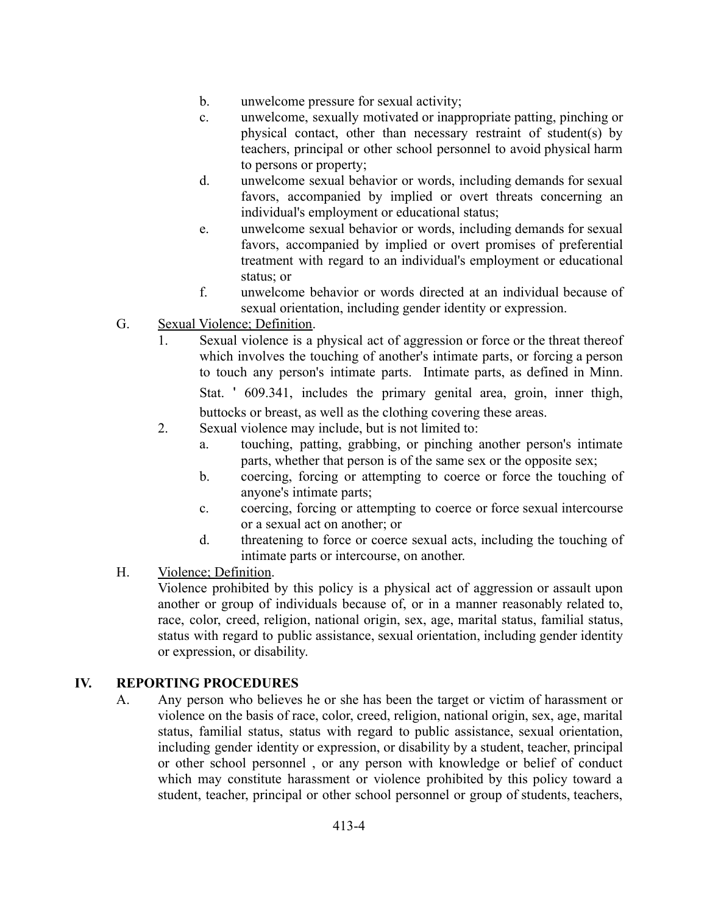- b. unwelcome pressure for sexual activity;
- c. unwelcome, sexually motivated or inappropriate patting, pinching or physical contact, other than necessary restraint of student(s) by teachers, principal or other school personnel to avoid physical harm to persons or property;
- d. unwelcome sexual behavior or words, including demands for sexual favors, accompanied by implied or overt threats concerning an individual's employment or educational status;
- e. unwelcome sexual behavior or words, including demands for sexual favors, accompanied by implied or overt promises of preferential treatment with regard to an individual's employment or educational status; or
- f. unwelcome behavior or words directed at an individual because of sexual orientation, including gender identity or expression.
- G. Sexual Violence; Definition.
	- 1. Sexual violence is a physical act of aggression or force or the threat thereof which involves the touching of another's intimate parts, or forcing a person to touch any person's intimate parts. Intimate parts, as defined in Minn. Stat. ' 609.341, includes the primary genital area, groin, inner thigh, buttocks or breast, as well as the clothing covering these areas.
	- 2. Sexual violence may include, but is not limited to:
		- a. touching, patting, grabbing, or pinching another person's intimate parts, whether that person is of the same sex or the opposite sex;
		- b. coercing, forcing or attempting to coerce or force the touching of anyone's intimate parts;
		- c. coercing, forcing or attempting to coerce or force sexual intercourse or a sexual act on another; or
		- d. threatening to force or coerce sexual acts, including the touching of intimate parts or intercourse, on another.
- H. Violence; Definition.

Violence prohibited by this policy is a physical act of aggression or assault upon another or group of individuals because of, or in a manner reasonably related to, race, color, creed, religion, national origin, sex, age, marital status, familial status, status with regard to public assistance, sexual orientation, including gender identity or expression, or disability.

# **IV. REPORTING PROCEDURES**

A. Any person who believes he or she has been the target or victim of harassment or violence on the basis of race, color, creed, religion, national origin, sex, age, marital status, familial status, status with regard to public assistance, sexual orientation, including gender identity or expression, or disability by a student, teacher, principal or other school personnel , or any person with knowledge or belief of conduct which may constitute harassment or violence prohibited by this policy toward a student, teacher, principal or other school personnel or group of students, teachers,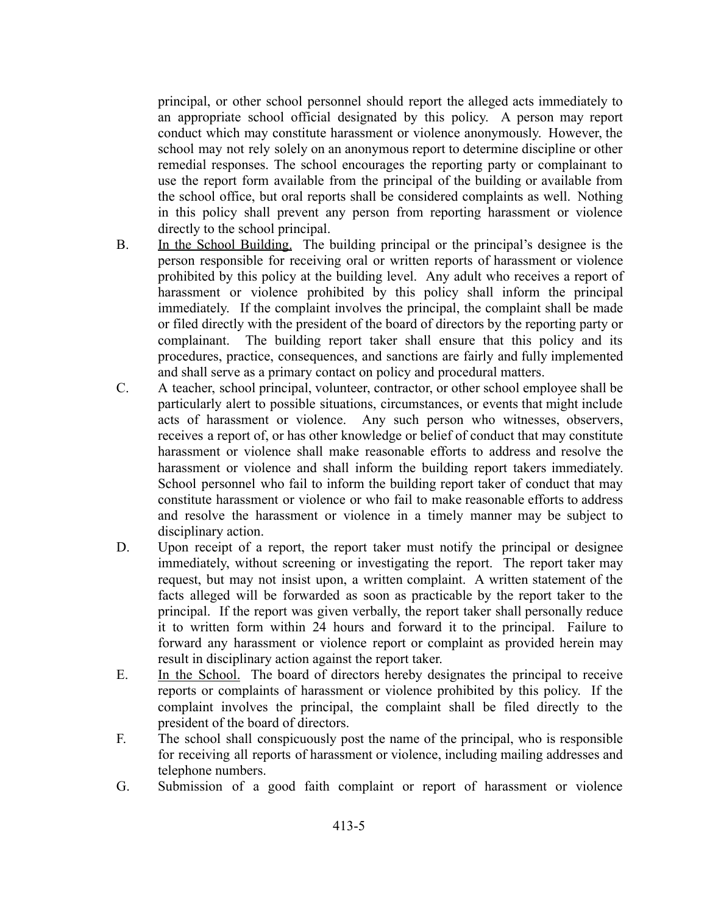principal, or other school personnel should report the alleged acts immediately to an appropriate school official designated by this policy. A person may report conduct which may constitute harassment or violence anonymously. However, the school may not rely solely on an anonymous report to determine discipline or other remedial responses. The school encourages the reporting party or complainant to use the report form available from the principal of the building or available from the school office, but oral reports shall be considered complaints as well. Nothing in this policy shall prevent any person from reporting harassment or violence directly to the school principal.

- B. In the School Building. The building principal or the principal's designee is the person responsible for receiving oral or written reports of harassment or violence prohibited by this policy at the building level. Any adult who receives a report of harassment or violence prohibited by this policy shall inform the principal immediately. If the complaint involves the principal, the complaint shall be made or filed directly with the president of the board of directors by the reporting party or complainant. The building report taker shall ensure that this policy and its procedures, practice, consequences, and sanctions are fairly and fully implemented and shall serve as a primary contact on policy and procedural matters.
- C. A teacher, school principal, volunteer, contractor, or other school employee shall be particularly alert to possible situations, circumstances, or events that might include acts of harassment or violence. Any such person who witnesses, observers, receives a report of, or has other knowledge or belief of conduct that may constitute harassment or violence shall make reasonable efforts to address and resolve the harassment or violence and shall inform the building report takers immediately. School personnel who fail to inform the building report taker of conduct that may constitute harassment or violence or who fail to make reasonable efforts to address and resolve the harassment or violence in a timely manner may be subject to disciplinary action.
- D. Upon receipt of a report, the report taker must notify the principal or designee immediately, without screening or investigating the report. The report taker may request, but may not insist upon, a written complaint. A written statement of the facts alleged will be forwarded as soon as practicable by the report taker to the principal. If the report was given verbally, the report taker shall personally reduce it to written form within 24 hours and forward it to the principal. Failure to forward any harassment or violence report or complaint as provided herein may result in disciplinary action against the report taker.
- E. In the School. The board of directors hereby designates the principal to receive reports or complaints of harassment or violence prohibited by this policy. If the complaint involves the principal, the complaint shall be filed directly to the president of the board of directors.
- F. The school shall conspicuously post the name of the principal, who is responsible for receiving all reports of harassment or violence, including mailing addresses and telephone numbers.
- G. Submission of a good faith complaint or report of harassment or violence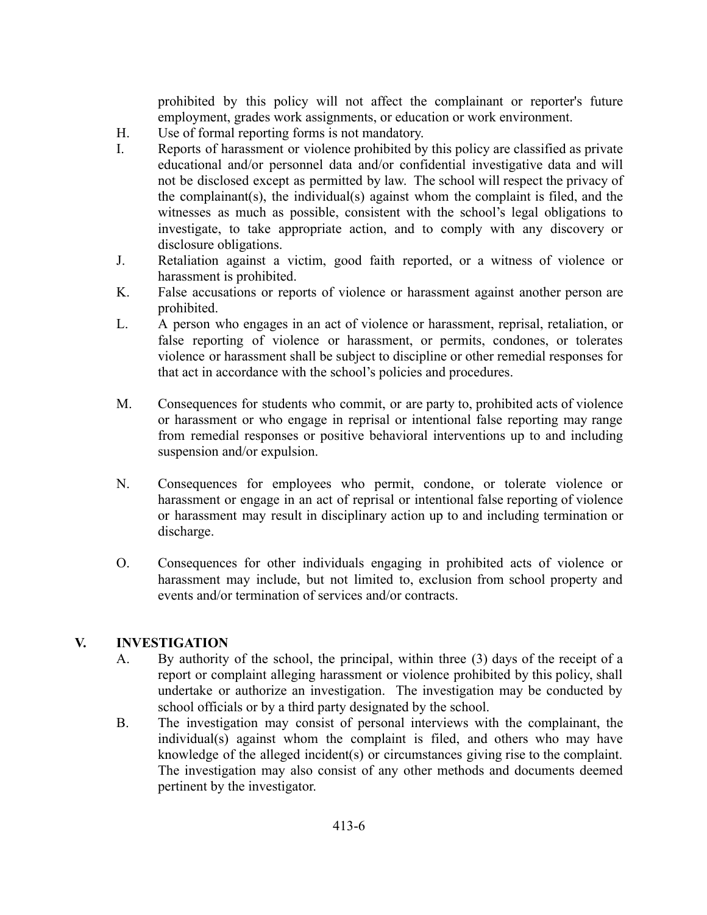prohibited by this policy will not affect the complainant or reporter's future employment, grades work assignments, or education or work environment.

- H. Use of formal reporting forms is not mandatory.
- I. Reports of harassment or violence prohibited by this policy are classified as private educational and/or personnel data and/or confidential investigative data and will not be disclosed except as permitted by law. The school will respect the privacy of the complainant(s), the individual(s) against whom the complaint is filed, and the witnesses as much as possible, consistent with the school's legal obligations to investigate, to take appropriate action, and to comply with any discovery or disclosure obligations.
- J. Retaliation against a victim, good faith reported, or a witness of violence or harassment is prohibited.
- K. False accusations or reports of violence or harassment against another person are prohibited.
- L. A person who engages in an act of violence or harassment, reprisal, retaliation, or false reporting of violence or harassment, or permits, condones, or tolerates violence or harassment shall be subject to discipline or other remedial responses for that act in accordance with the school's policies and procedures.
- M. Consequences for students who commit, or are party to, prohibited acts of violence or harassment or who engage in reprisal or intentional false reporting may range from remedial responses or positive behavioral interventions up to and including suspension and/or expulsion.
- N. Consequences for employees who permit, condone, or tolerate violence or harassment or engage in an act of reprisal or intentional false reporting of violence or harassment may result in disciplinary action up to and including termination or discharge.
- O. Consequences for other individuals engaging in prohibited acts of violence or harassment may include, but not limited to, exclusion from school property and events and/or termination of services and/or contracts.

# **V. INVESTIGATION**

- A. By authority of the school, the principal, within three (3) days of the receipt of a report or complaint alleging harassment or violence prohibited by this policy, shall undertake or authorize an investigation. The investigation may be conducted by school officials or by a third party designated by the school.
- B. The investigation may consist of personal interviews with the complainant, the individual(s) against whom the complaint is filed, and others who may have knowledge of the alleged incident(s) or circumstances giving rise to the complaint. The investigation may also consist of any other methods and documents deemed pertinent by the investigator.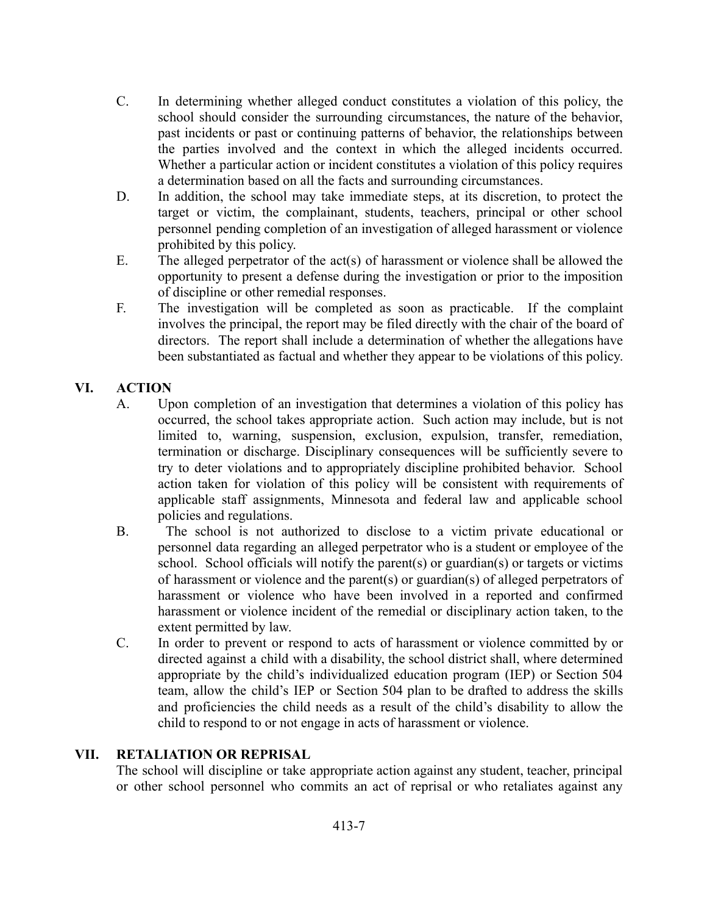- C. In determining whether alleged conduct constitutes a violation of this policy, the school should consider the surrounding circumstances, the nature of the behavior, past incidents or past or continuing patterns of behavior, the relationships between the parties involved and the context in which the alleged incidents occurred. Whether a particular action or incident constitutes a violation of this policy requires a determination based on all the facts and surrounding circumstances.
- D. In addition, the school may take immediate steps, at its discretion, to protect the target or victim, the complainant, students, teachers, principal or other school personnel pending completion of an investigation of alleged harassment or violence prohibited by this policy.
- E. The alleged perpetrator of the act(s) of harassment or violence shall be allowed the opportunity to present a defense during the investigation or prior to the imposition of discipline or other remedial responses.
- F. The investigation will be completed as soon as practicable. If the complaint involves the principal, the report may be filed directly with the chair of the board of directors. The report shall include a determination of whether the allegations have been substantiated as factual and whether they appear to be violations of this policy.

# **VI. ACTION**

- A. Upon completion of an investigation that determines a violation of this policy has occurred, the school takes appropriate action. Such action may include, but is not limited to, warning, suspension, exclusion, expulsion, transfer, remediation, termination or discharge. Disciplinary consequences will be sufficiently severe to try to deter violations and to appropriately discipline prohibited behavior. School action taken for violation of this policy will be consistent with requirements of applicable staff assignments, Minnesota and federal law and applicable school policies and regulations.
- B. The school is not authorized to disclose to a victim private educational or personnel data regarding an alleged perpetrator who is a student or employee of the school. School officials will notify the parent(s) or guardian(s) or targets or victims of harassment or violence and the parent(s) or guardian(s) of alleged perpetrators of harassment or violence who have been involved in a reported and confirmed harassment or violence incident of the remedial or disciplinary action taken, to the extent permitted by law.
- C. In order to prevent or respond to acts of harassment or violence committed by or directed against a child with a disability, the school district shall, where determined appropriate by the child's individualized education program (IEP) or Section 504 team, allow the child's IEP or Section 504 plan to be drafted to address the skills and proficiencies the child needs as a result of the child's disability to allow the child to respond to or not engage in acts of harassment or violence.

# **VII. RETALIATION OR REPRISAL**

The school will discipline or take appropriate action against any student, teacher, principal or other school personnel who commits an act of reprisal or who retaliates against any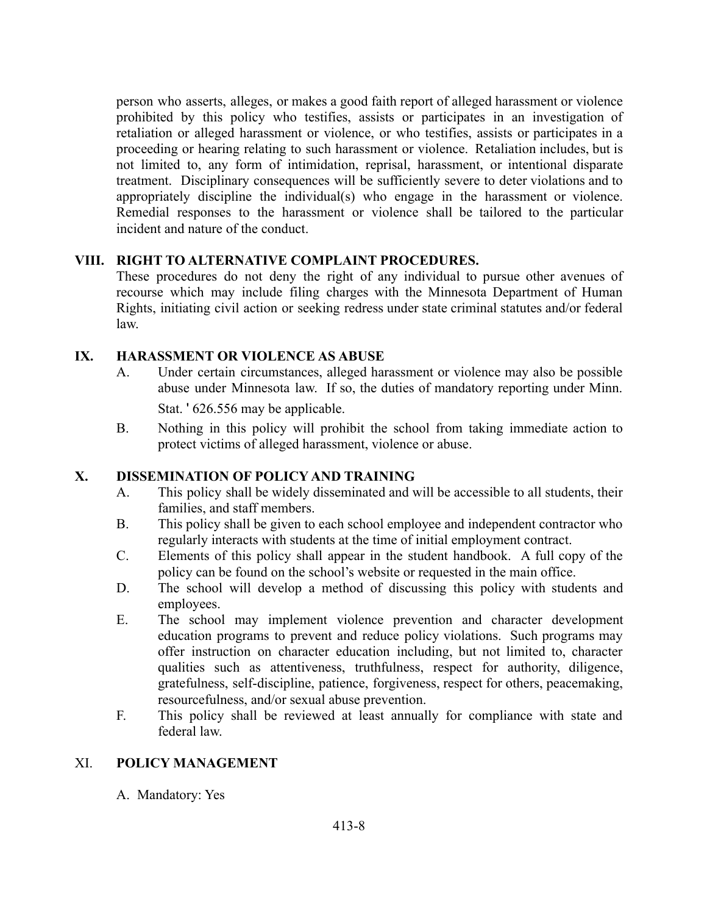person who asserts, alleges, or makes a good faith report of alleged harassment or violence prohibited by this policy who testifies, assists or participates in an investigation of retaliation or alleged harassment or violence, or who testifies, assists or participates in a proceeding or hearing relating to such harassment or violence. Retaliation includes, but is not limited to, any form of intimidation, reprisal, harassment, or intentional disparate treatment. Disciplinary consequences will be sufficiently severe to deter violations and to appropriately discipline the individual(s) who engage in the harassment or violence. Remedial responses to the harassment or violence shall be tailored to the particular incident and nature of the conduct.

# **VIII. RIGHT TO ALTERNATIVE COMPLAINT PROCEDURES.**

These procedures do not deny the right of any individual to pursue other avenues of recourse which may include filing charges with the Minnesota Department of Human Rights, initiating civil action or seeking redress under state criminal statutes and/or federal law.

#### **IX. HARASSMENT OR VIOLENCE AS ABUSE**

A. Under certain circumstances, alleged harassment or violence may also be possible abuse under Minnesota law. If so, the duties of mandatory reporting under Minn.

Stat. ' 626.556 may be applicable.

B. Nothing in this policy will prohibit the school from taking immediate action to protect victims of alleged harassment, violence or abuse.

#### **X. DISSEMINATION OF POLICY AND TRAINING**

- A. This policy shall be widely disseminated and will be accessible to all students, their families, and staff members.
- B. This policy shall be given to each school employee and independent contractor who regularly interacts with students at the time of initial employment contract.
- C. Elements of this policy shall appear in the student handbook. A full copy of the policy can be found on the school's website or requested in the main office.
- D. The school will develop a method of discussing this policy with students and employees.
- E. The school may implement violence prevention and character development education programs to prevent and reduce policy violations. Such programs may offer instruction on character education including, but not limited to, character qualities such as attentiveness, truthfulness, respect for authority, diligence, gratefulness, self-discipline, patience, forgiveness, respect for others, peacemaking, resourcefulness, and/or sexual abuse prevention.
- F. This policy shall be reviewed at least annually for compliance with state and federal law.

#### XI. **POLICY MANAGEMENT**

A. Mandatory: Yes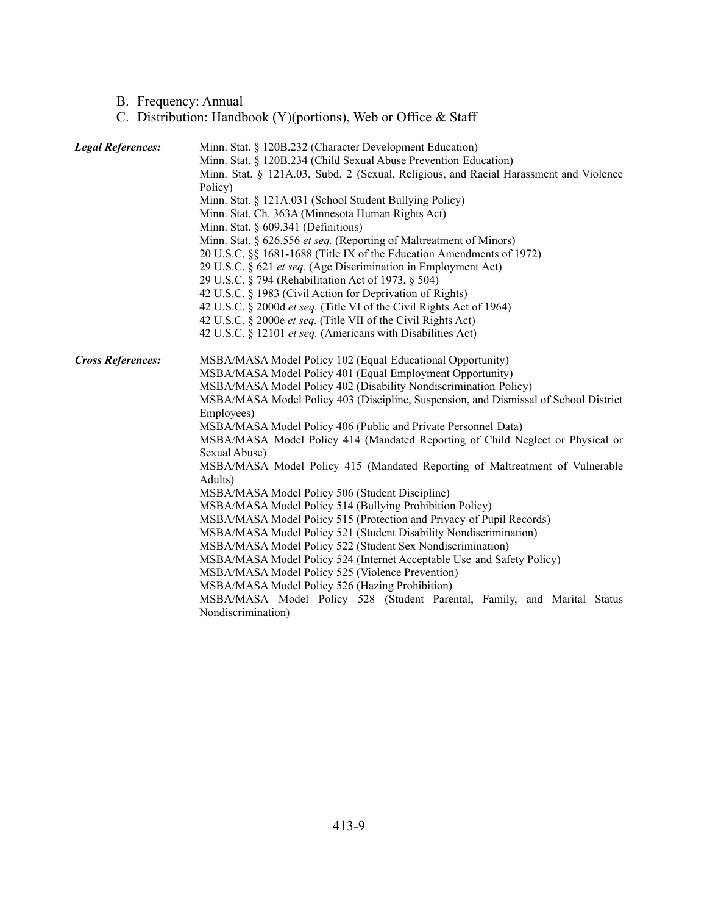#### B. Frequency: Annual

#### C. Distribution: Handbook (Y)(portions), Web or Office & Staff

| <b>Legal References:</b> | Minn. Stat. § 120B.232 (Character Development Education)                              |  |
|--------------------------|---------------------------------------------------------------------------------------|--|
|                          | Minn. Stat. § 120B.234 (Child Sexual Abuse Prevention Education)                      |  |
|                          | Minn. Stat. § 121A.03, Subd. 2 (Sexual, Religious, and Racial Harassment and Violence |  |
|                          | Policy)                                                                               |  |
|                          | Minn. Stat. § 121A.031 (School Student Bullying Policy)                               |  |
|                          | Minn. Stat. Ch. 363A (Minnesota Human Rights Act)                                     |  |
|                          | Minn. Stat. § 609.341 (Definitions)                                                   |  |
|                          | Minn. Stat. § 626.556 et seq. (Reporting of Maltreatment of Minors)                   |  |
|                          | 20 U.S.C. §§ 1681-1688 (Title IX of the Education Amendments of 1972)                 |  |
|                          | 29 U.S.C. § 621 et seq. (Age Discrimination in Employment Act)                        |  |
|                          | 29 U.S.C. § 794 (Rehabilitation Act of 1973, § 504)                                   |  |
|                          | 42 U.S.C. § 1983 (Civil Action for Deprivation of Rights)                             |  |
|                          | 42 U.S.C. § 2000d et seq. (Title VI of the Civil Rights Act of 1964)                  |  |
|                          | 42 U.S.C. § 2000e et seq. (Title VII of the Civil Rights Act)                         |  |
|                          | 42 U.S.C. § 12101 et seq. (Americans with Disabilities Act)                           |  |
| <b>Cross References:</b> | MSBA/MASA Model Policy 102 (Equal Educational Opportunity)                            |  |
|                          | MSBA/MASA Model Policy 401 (Equal Employment Opportunity)                             |  |
|                          | MSBA/MASA Model Policy 402 (Disability Nondiscrimination Policy)                      |  |
|                          | MSBA/MASA Model Policy 403 (Discipline, Suspension, and Dismissal of School District  |  |
|                          | Employees)                                                                            |  |
|                          | MSBA/MASA Model Policy 406 (Public and Private Personnel Data)                        |  |
|                          | MSBA/MASA Model Policy 414 (Mandated Reporting of Child Neglect or Physical or        |  |
|                          | Sexual Abuse)                                                                         |  |
|                          | MSBA/MASA Model Policy 415 (Mandated Reporting of Maltreatment of Vulnerable          |  |
|                          | Adults)                                                                               |  |
|                          | MSBA/MASA Model Policy 506 (Student Discipline)                                       |  |
|                          | MSBA/MASA Model Policy 514 (Bullying Prohibition Policy)                              |  |
|                          | MSBA/MASA Model Policy 515 (Protection and Privacy of Pupil Records)                  |  |
|                          | MSBA/MASA Model Policy 521 (Student Disability Nondiscrimination)                     |  |
|                          | MSBA/MASA Model Policy 522 (Student Sex Nondiscrimination)                            |  |
|                          | MSBA/MASA Model Policy 524 (Internet Acceptable Use and Safety Policy)                |  |
|                          | MSBA/MASA Model Policy 525 (Violence Prevention)                                      |  |
|                          | MSBA/MASA Model Policy 526 (Hazing Prohibition)                                       |  |
|                          | MSBA/MASA Model Policy 528 (Student Parental, Family, and Marital Status              |  |
|                          | Nondiscrimination)                                                                    |  |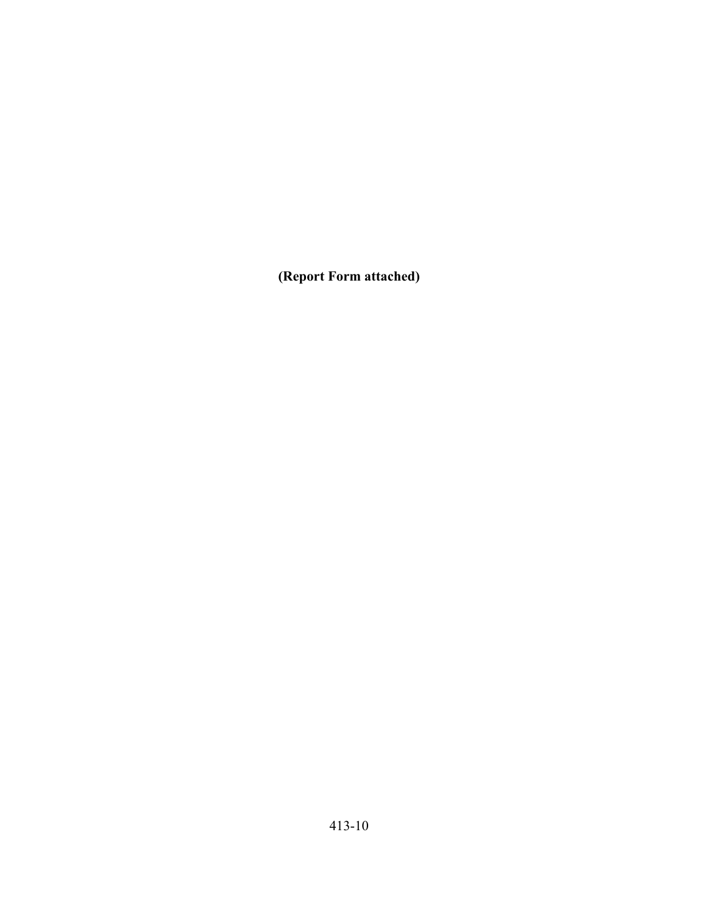**(Report Form attached)**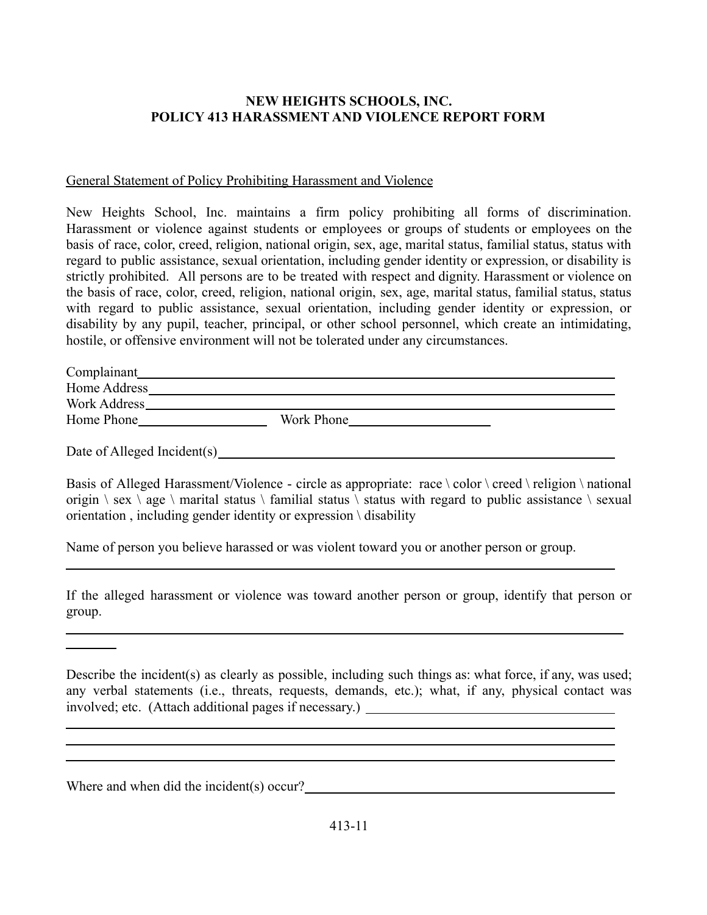# **NEW HEIGHTS SCHOOLS, INC. POLICY 413 HARASSMENT AND VIOLENCE REPORT FORM**

#### General Statement of Policy Prohibiting Harassment and Violence

New Heights School, Inc. maintains a firm policy prohibiting all forms of discrimination. Harassment or violence against students or employees or groups of students or employees on the basis of race, color, creed, religion, national origin, sex, age, marital status, familial status, status with regard to public assistance, sexual orientation, including gender identity or expression, or disability is strictly prohibited. All persons are to be treated with respect and dignity. Harassment or violence on the basis of race, color, creed, religion, national origin, sex, age, marital status, familial status, status with regard to public assistance, sexual orientation, including gender identity or expression, or disability by any pupil, teacher, principal, or other school personnel, which create an intimidating, hostile, or offensive environment will not be tolerated under any circumstances.

| Complainant  |            |
|--------------|------------|
| Home Address |            |
| Work Address |            |
| Home Phone   | Work Phone |

Date of Alleged Incident(s)

Basis of Alleged Harassment/Violence - circle as appropriate: race  $\cdot$  color  $\cdot$  creed  $\cdot$  religion  $\cdot$  national origin  $\$ sex  $\$ age  $\$  marital status  $\$  familial status  $\$  status with regard to public assistance  $\$  sexual orientation , including gender identity or expression \ disability

Name of person you believe harassed or was violent toward you or another person or group.

If the alleged harassment or violence was toward another person or group, identify that person or group.

Describe the incident(s) as clearly as possible, including such things as: what force, if any, was used; any verbal statements (i.e., threats, requests, demands, etc.); what, if any, physical contact was involved; etc. (Attach additional pages if necessary.)

Where and when did the incident(s) occur?